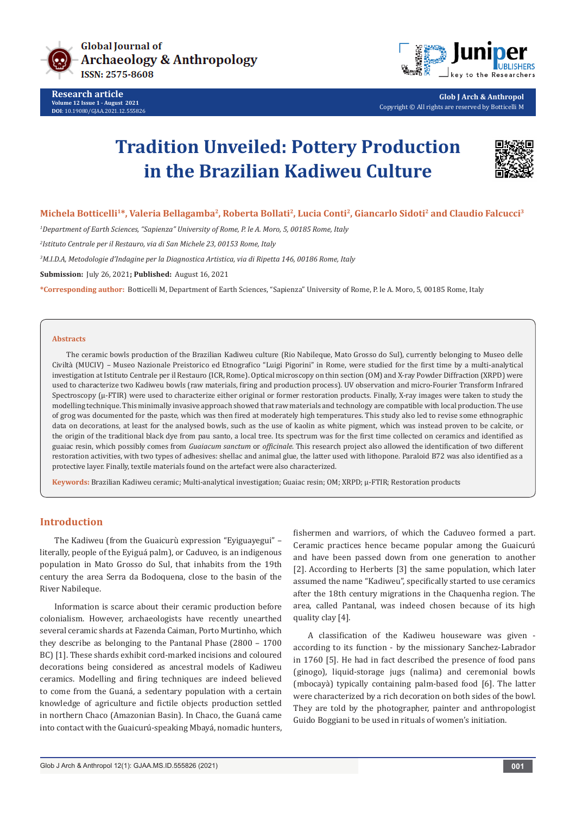

**Research article Volume 12 Issue 1 - August 2021 DOI**: [10.19080/GJAA.2021.12.5558](http://dx.doi.org/10.19080/GJAA.2021.12.555826)26



**Glob J Arch & Anthropol** Copyright © All rights are reserved by Botticelli M

# **Tradition Unveiled: Pottery Production in the Brazilian Kadiweu Culture**



## **Michela Botticelli1\*, Valeria Bellagamba2, Roberta Bollati2, Lucia Conti2, Giancarlo Sidoti2 and Claudio Falcucci3**

*1 Department of Earth Sciences, "Sapienza" University of Rome, P. le A. Moro, 5, 00185 Rome, Italy*

*2 Istituto Centrale per il Restauro, via di San Michele 23, 00153 Rome, Italy*

*3 M.I.D.A, Metodologie d'Indagine per la Diagnostica Artistica, via di Ripetta 146, 00186 Rome, Italy*

**Submission:** July 26, 2021**; Published:** August 16, 2021

**\*Corresponding author:** Botticelli M, Department of Earth Sciences, "Sapienza" University of Rome, P. le A. Moro, 5, 00185 Rome, Italy

#### **Abstracts**

The ceramic bowls production of the Brazilian Kadiweu culture (Rio Nabileque, Mato Grosso do Sul), currently belonging to Museo delle Civiltà (MUCIV) – Museo Nazionale Preistorico ed Etnografico "Luigi Pigorini" in Rome, were studied for the first time by a multi-analytical investigation at Istituto Centrale per il Restauro (ICR, Rome). Optical microscopy on thin section (OM) and X-ray Powder Diffraction (XRPD) were used to characterize two Kadiweu bowls (raw materials, firing and production process). UV observation and micro-Fourier Transform Infrared Spectroscopy (µ-FTIR) were used to characterize either original or former restoration products. Finally, X-ray images were taken to study the modelling technique. This minimally invasive approach showed that raw materials and technology are compatible with local production. The use of grog was documented for the paste, which was then fired at moderately high temperatures. This study also led to revise some ethnographic data on decorations, at least for the analysed bowls, such as the use of kaolin as white pigment, which was instead proven to be calcite, or the origin of the traditional black dye from pau santo, a local tree. Its spectrum was for the first time collected on ceramics and identified as guaiac resin, which possibly comes from *Guaiacum sanctum* or *officinale*. This research project also allowed the identification of two different restoration activities, with two types of adhesives: shellac and animal glue, the latter used with lithopone. Paraloid B72 was also identified as a protective layer. Finally, textile materials found on the artefact were also characterized.

**Keywords:** Brazilian Kadiweu ceramic; Multi-analytical investigation; Guaiac resin; OM; XRPD; µ-FTIR; Restoration products

## **Introduction**

The Kadiweu (from the Guaicurù expression "Eyiguayegui" – literally, people of the Eyiguá palm), or Caduveo, is an indigenous population in Mato Grosso do Sul, that inhabits from the 19th century the area Serra da Bodoquena, close to the basin of the River Nabileque.

Information is scarce about their ceramic production before colonialism. However, archaeologists have recently unearthed several ceramic shards at Fazenda Caiman, Porto Murtinho, which they describe as belonging to the Pantanal Phase (2800 – 1700 BC) [1]. These shards exhibit cord-marked incisions and coloured decorations being considered as ancestral models of Kadiweu ceramics. Modelling and firing techniques are indeed believed to come from the Guaná, a sedentary population with a certain knowledge of agriculture and fictile objects production settled in northern Chaco (Amazonian Basin). In Chaco, the Guaná came into contact with the Guaicurú-speaking Mbayá, nomadic hunters,

fishermen and warriors, of which the Caduveo formed a part. Ceramic practices hence became popular among the Guaicurú and have been passed down from one generation to another [2]. According to Herberts [3] the same population, which later assumed the name "Kadiweu", specifically started to use ceramics after the 18th century migrations in the Chaquenha region. The area, called Pantanal, was indeed chosen because of its high quality clay [4].

A classification of the Kadiweu houseware was given according to its function - by the missionary Sanchez-Labrador in 1760 [5]. He had in fact described the presence of food pans (ginogo), liquid-storage jugs (nalima) and ceremonial bowls (mbocayà) typically containing palm-based food [6]. The latter were characterized by a rich decoration on both sides of the bowl. They are told by the photographer, painter and anthropologist Guido Boggiani to be used in rituals of women's initiation.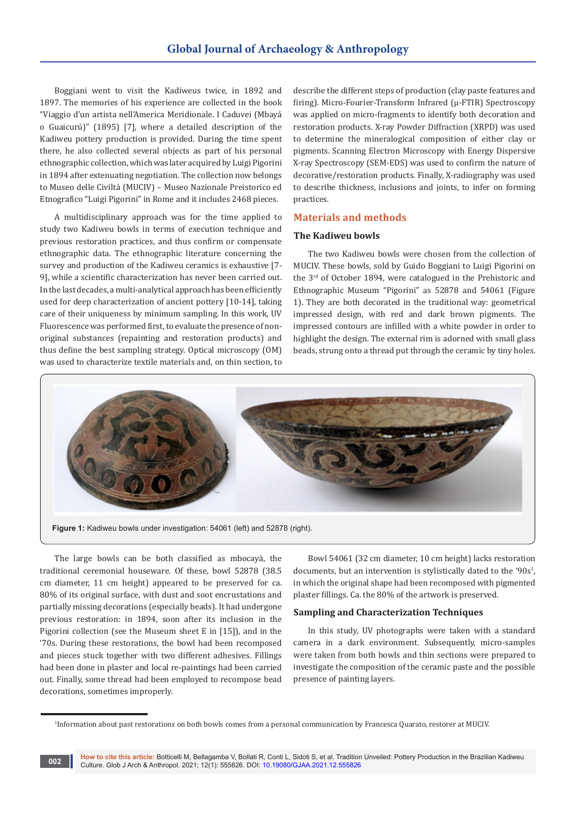Boggiani went to visit the Kadiweus twice, in 1892 and 1897. The memories of his experience are collected in the book "Viaggio d'un artista nell'America Meridionale. I Caduvei (Mbayá o Guaicurú)" (1895) [7], where a detailed description of the Kadiweu pottery production is provided. During the time spent there, he also collected several objects as part of his personal ethnographic collection, which was later acquired by Luigi Pigorini in 1894 after extenuating negotiation. The collection now belongs to Museo delle Civiltà (MUCIV) – Museo Nazionale Preistorico ed Etnografico "Luigi Pigorini" in Rome and it includes 2468 pieces.

A multidisciplinary approach was for the time applied to study two Kadiweu bowls in terms of execution technique and previous restoration practices, and thus confirm or compensate ethnographic data. The ethnographic literature concerning the survey and production of the Kadiweu ceramics is exhaustive [7- 9], while a scientific characterization has never been carried out. In the last decades, a multi-analytical approach has been efficiently used for deep characterization of ancient pottery [10-14], taking care of their uniqueness by minimum sampling. In this work, UV Fluorescence was performed first, to evaluate the presence of nonoriginal substances (repainting and restoration products) and thus define the best sampling strategy. Optical microscopy (OM) was used to characterize textile materials and, on thin section, to

describe the different steps of production (clay paste features and firing). Micro-Fourier-Transform Infrared (μ-FTIR) Spectroscopy was applied on micro-fragments to identify both decoration and restoration products. X-ray Powder Diffraction (XRPD) was used to determine the mineralogical composition of either clay or pigments. Scanning Electron Microscopy with Energy Dispersive X-ray Spectroscopy (SEM-EDS) was used to confirm the nature of decorative/restoration products. Finally, X-radiography was used to describe thickness, inclusions and joints, to infer on forming practices.

## **Materials and methods**

## **The Kadiweu bowls**

The two Kadiweu bowls were chosen from the collection of MUCIV. These bowls, sold by Guido Boggiani to Luigi Pigorini on the 3<sup>rd</sup> of October 1894, were catalogued in the Prehistoric and Ethnographic Museum "Pigorini" as 52878 and 54061 (Figure 1). They are both decorated in the traditional way: geometrical impressed design, with red and dark brown pigments. The impressed contours are infilled with a white powder in order to highlight the design. The external rim is adorned with small glass beads, strung onto a thread put through the ceramic by tiny holes.



The large bowls can be both classified as mbocayà, the traditional ceremonial houseware. Of these, bowl 52878 (38.5 cm diameter, 11 cm height) appeared to be preserved for ca. 80% of its original surface, with dust and soot encrustations and partially missing decorations (especially beads). It had undergone previous restoration: in 1894, soon after its inclusion in the Pigorini collection (see the Museum sheet E in [15]), and in the '70s. During these restorations, the bowl had been recomposed and pieces stuck together with two different adhesives. Fillings had been done in plaster and local re-paintings had been carried out. Finally, some thread had been employed to recompose bead decorations, sometimes improperly.

Bowl 54061 (32 cm diameter, 10 cm height) lacks restoration documents, but an intervention is stylistically dated to the '90 $s<sup>1</sup>$ , in which the original shape had been recomposed with pigmented plaster fillings. Ca. the 80% of the artwork is preserved.

## **Sampling and Characterization Techniques**

In this study, UV photographs were taken with a standard camera in a dark environment. Subsequently, micro-samples were taken from both bowls and thin sections were prepared to investigate the composition of the ceramic paste and the possible presence of painting layers.

**How to cite this article:** Botticelli M, Bellagamba V, Bollati R, Conti L, Sidoti S, et al. Tradition Unveiled: Pottery Production in the Brazilian Kadiweu **Culture. Glob J Arch & Anthropol. 2021; 12(1): 555826. DOI: [10.19080/GJAA.2021.12.55582](http://dx.doi.org/10.19080/GJAA.2021.12.555826)6**<br>Culture. Glob J Arch & Anthropol. 2021; 12(1): 555826. DOI: 10.19080/GJAA.2021.12.555826

<sup>1</sup> Information about past restorations on both bowls comes from a personal communication by Francesca Quarato, restorer at MUCIV.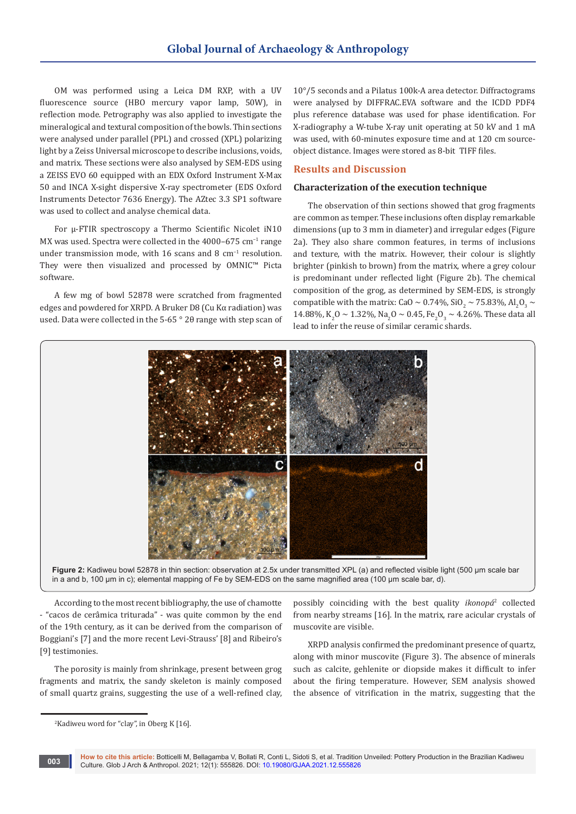OM was performed using a Leica DM RXP, with a UV fluorescence source (HBO mercury vapor lamp, 50W), in reflection mode. Petrography was also applied to investigate the mineralogical and textural composition of the bowls. Thin sections were analysed under parallel (PPL) and crossed (XPL) polarizing light by a Zeiss Universal microscope to describe inclusions, voids, and matrix. These sections were also analysed by SEM-EDS using a ZEISS EVO 60 equipped with an EDX Oxford Instrument X-Max 50 and INCA X-sight dispersive X-ray spectrometer (EDS Oxford Instruments Detector 7636 Energy). The AZtec 3.3 SP1 software was used to collect and analyse chemical data.

For μ-FTIR spectroscopy a Thermo Scientific Nicolet iN10 MX was used. Spectra were collected in the 4000–675 cm<sup>-1</sup> range under transmission mode, with 16 scans and 8 cm−1 resolution. They were then visualized and processed by OMNIC™ Picta software.

A few mg of bowl 52878 were scratched from fragmented edges and powdered for XRPD. A Bruker D8 (Cu Kα radiation) was used. Data were collected in the 5-65 ° 2θ range with step scan of 10°/5 seconds and a Pilatus 100k-A area detector. Diffractograms were analysed by DIFFRAC.EVA software and the ICDD PDF4 plus reference database was used for phase identification. For X-radiography a W-tube X-ray unit operating at 50 kV and 1 mA was used, with 60-minutes exposure time and at 120 cm sourceobject distance. Images were stored as 8-bit TIFF files.

# **Results and Discussion**

## **Characterization of the execution technique**

The observation of thin sections showed that grog fragments are common as temper. These inclusions often display remarkable dimensions (up to 3 mm in diameter) and irregular edges (Figure 2a). They also share common features, in terms of inclusions and texture, with the matrix. However, their colour is slightly brighter (pinkish to brown) from the matrix, where a grey colour is predominant under reflected light (Figure 2b). The chemical composition of the grog, as determined by SEM-EDS, is strongly compatible with the matrix: CaO ~  $0.74\%$ , SiO<sub>2</sub> ~  $75.83\%$ , Al<sub>2</sub>O<sub>3</sub> ~ 14.88%, K<sub>2</sub>O ~ 1.32%, Na<sub>2</sub>O ~ 0.45, Fe<sub>2</sub>O<sub>3</sub> ~ 4.26%. These data all lead to infer the reuse of similar ceramic shards.





According to the most recent bibliography, the use of chamotte - "cacos de cerâmica triturada" - was quite common by the end of the 19th century, as it can be derived from the comparison of Boggiani's [7] and the more recent Levi-Strauss' [8] and Ribeiro's [9] testimonies.

The porosity is mainly from shrinkage, present between grog fragments and matrix, the sandy skeleton is mainly composed of small quartz grains, suggesting the use of a well-refined clay,

possibly coinciding with the best quality *ikonopá*<sup>2</sup> collected from nearby streams [16]. In the matrix, rare acicular crystals of muscovite are visible.

XRPD analysis confirmed the predominant presence of quartz, along with minor muscovite (Figure 3). The absence of minerals such as calcite, gehlenite or diopside makes it difficult to infer about the firing temperature. However, SEM analysis showed the absence of vitrification in the matrix, suggesting that the

**003**

<sup>2</sup> Kadiweu word for "clay", in Oberg K [16].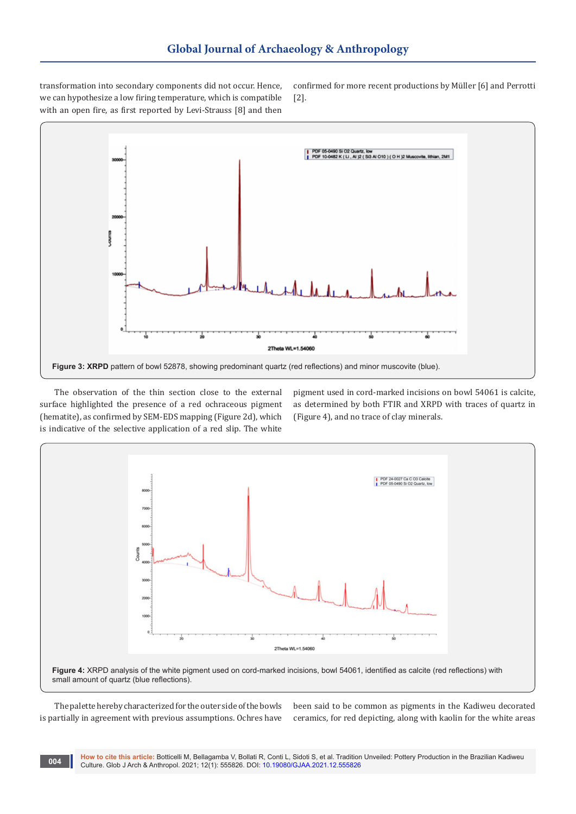transformation into secondary components did not occur. Hence, we can hypothesize a low firing temperature, which is compatible with an open fire, as first reported by Levi-Strauss [8] and then

confirmed for more recent productions by Müller [6] and Perrotti [2].



The observation of the thin section close to the external surface highlighted the presence of a red ochraceous pigment (hematite), as confirmed by SEM-EDS mapping (Figure 2d), which is indicative of the selective application of a red slip. The white

pigment used in cord-marked incisions on bowl 54061 is calcite, as determined by both FTIR and XRPD with traces of quartz in (Figure 4), and no trace of clay minerals.



The palette hereby characterized for the outer side of the bowls is partially in agreement with previous assumptions. Ochres have

been said to be common as pigments in the Kadiweu decorated ceramics, for red depicting, along with kaolin for the white areas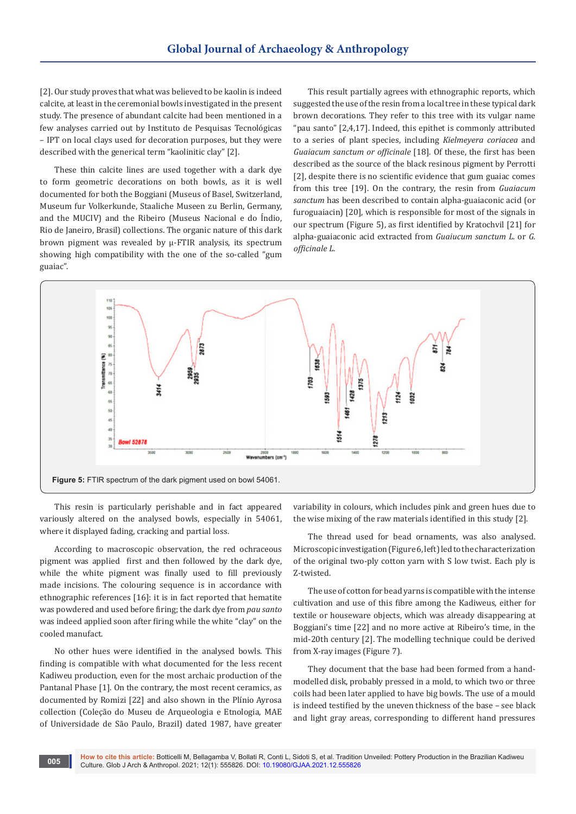[2]. Our study proves that what was believed to be kaolin is indeed calcite, at least in the ceremonial bowls investigated in the present study. The presence of abundant calcite had been mentioned in a few analyses carried out by Instituto de Pesquisas Tecnológicas – IPT on local clays used for decoration purposes, but they were described with the generical term "kaolinitic clay" [2].

These thin calcite lines are used together with a dark dye to form geometric decorations on both bowls, as it is well documented for both the Boggiani (Museus of Basel, Switzerland, Museum fur Volkerkunde, Staaliche Museen zu Berlin, Germany, and the MUCIV) and the Ribeiro (Museus Nacional e do Índio, Rio de Janeiro, Brasil) collections. The organic nature of this dark brown pigment was revealed by μ-FTIR analysis, its spectrum showing high compatibility with the one of the so-called "gum guaiac".

This result partially agrees with ethnographic reports, which suggested the use of the resin from a local tree in these typical dark brown decorations. They refer to this tree with its vulgar name "pau santo" [2,4,17]. Indeed, this epithet is commonly attributed to a series of plant species, including *Kielmeyera coriacea* and *Guaiacum sanctum or officinale* [18]. Of these, the first has been described as the source of the black resinous pigment by Perrotti [2], despite there is no scientific evidence that gum guaiac comes from this tree [19]. On the contrary, the resin from *Guaiacum sanctum* has been described to contain alpha-guaiaconic acid (or furoguaiacin) [20], which is responsible for most of the signals in our spectrum (Figure 5), as first identified by Kratochvil [21] for alpha-guaiaconic acid extracted from *Guaiucum sanctum L.* or *G. officinale L*.



This resin is particularly perishable and in fact appeared variously altered on the analysed bowls, especially in 54061, where it displayed fading, cracking and partial loss.

According to macroscopic observation, the red ochraceous pigment was applied first and then followed by the dark dye, while the white pigment was finally used to fill previously made incisions. The colouring sequence is in accordance with ethnographic references [16]: it is in fact reported that hematite was powdered and used before firing; the dark dye from *pau santo* was indeed applied soon after firing while the white "clay" on the cooled manufact.

No other hues were identified in the analysed bowls. This finding is compatible with what documented for the less recent Kadiweu production, even for the most archaic production of the Pantanal Phase [1]. On the contrary, the most recent ceramics, as documented by Romizi [22] and also shown in the Plínio Ayrosa collection (Coleção do Museu de Arqueologia e Etnologia, MAE of Universidade de São Paulo, Brazil) dated 1987, have greater

variability in colours, which includes pink and green hues due to the wise mixing of the raw materials identified in this study [2].

The thread used for bead ornaments, was also analysed. Microscopic investigation (Figure 6, left) led to the characterization of the original two-ply cotton yarn with S low twist. Each ply is Z-twisted.

The use of cotton for bead yarns is compatible with the intense cultivation and use of this fibre among the Kadiweus, either for textile or houseware objects, which was already disappearing at Boggiani's time [22] and no more active at Ribeiro's time, in the mid-20th century [2]. The modelling technique could be derived from X-ray images (Figure 7).

They document that the base had been formed from a handmodelled disk, probably pressed in a mold, to which two or three coils had been later applied to have big bowls. The use of a mould is indeed testified by the uneven thickness of the base – see black and light gray areas, corresponding to different hand pressures

**005**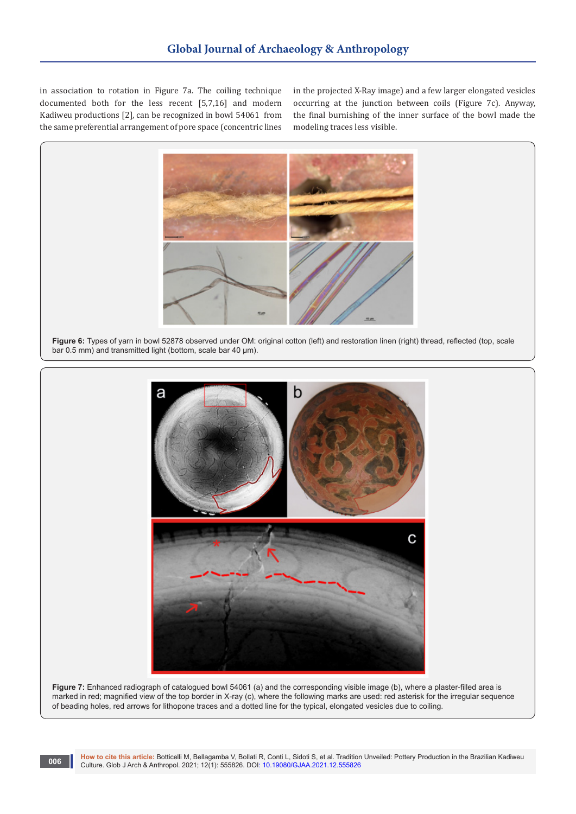in association to rotation in Figure 7a. The coiling technique documented both for the less recent [5,7,16] and modern Kadiweu productions [2], can be recognized in bowl 54061 from the same preferential arrangement of pore space (concentric lines in the projected X-Ray image) and a few larger elongated vesicles occurring at the junction between coils (Figure 7c). Anyway, the final burnishing of the inner surface of the bowl made the modeling traces less visible.



**Figure 6:** Types of yarn in bowl 52878 observed under OM: original cotton (left) and restoration linen (right) thread, reflected (top, scale bar 0.5 mm) and transmitted light (bottom, scale bar 40 µm).



**Figure 7:** Enhanced radiograph of catalogued bowl 54061 (a) and the corresponding visible image (b), where a plaster-filled area is marked in red; magnified view of the top border in X-ray (c), where the following marks are used: red asterisk for the irregular sequence of beading holes, red arrows for lithopone traces and a dotted line for the typical, elongated vesicles due to coiling.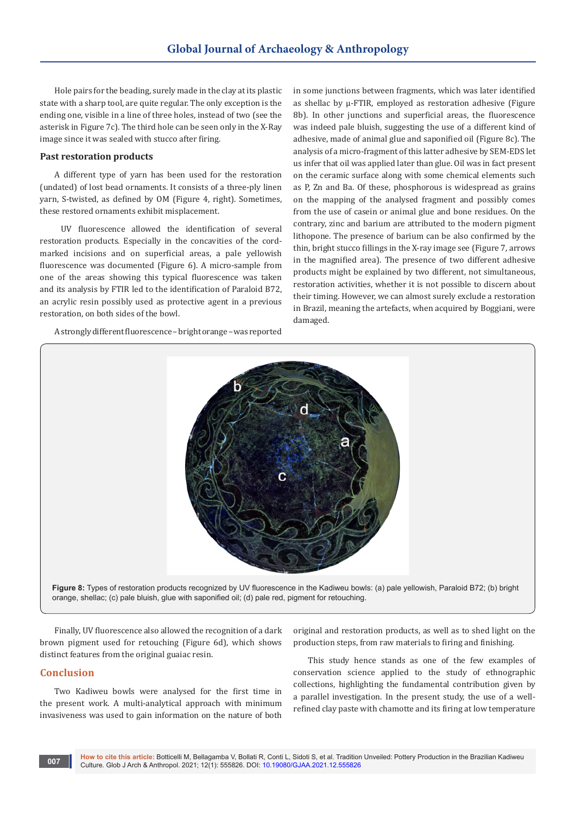Hole pairs for the beading, surely made in the clay at its plastic state with a sharp tool, are quite regular. The only exception is the ending one, visible in a line of three holes, instead of two (see the asterisk in Figure 7c). The third hole can be seen only in the X-Ray image since it was sealed with stucco after firing.

## **Past restoration products**

A different type of yarn has been used for the restoration (undated) of lost bead ornaments. It consists of a three-ply linen yarn, S-twisted, as defined by OM (Figure 4, right). Sometimes, these restored ornaments exhibit misplacement.

 UV fluorescence allowed the identification of several restoration products. Especially in the concavities of the cordmarked incisions and on superficial areas, a pale yellowish fluorescence was documented (Figure 6). A micro-sample from one of the areas showing this typical fluorescence was taken and its analysis by FTIR led to the identification of Paraloid B72, an acrylic resin possibly used as protective agent in a previous restoration, on both sides of the bowl.

A strongly different fluorescence – bright orange – was reported

in some junctions between fragments, which was later identified as shellac by μ-FTIR, employed as restoration adhesive (Figure 8b). In other junctions and superficial areas, the fluorescence was indeed pale bluish, suggesting the use of a different kind of adhesive, made of animal glue and saponified oil (Figure 8c). The analysis of a micro-fragment of this latter adhesive by SEM-EDS let us infer that oil was applied later than glue. Oil was in fact present on the ceramic surface along with some chemical elements such as P, Zn and Ba. Of these, phosphorous is widespread as grains on the mapping of the analysed fragment and possibly comes from the use of casein or animal glue and bone residues. On the contrary, zinc and barium are attributed to the modern pigment lithopone. The presence of barium can be also confirmed by the thin, bright stucco fillings in the X-ray image see (Figure 7, arrows in the magnified area). The presence of two different adhesive products might be explained by two different, not simultaneous, restoration activities, whether it is not possible to discern about their timing. However, we can almost surely exclude a restoration in Brazil, meaning the artefacts, when acquired by Boggiani, were damaged.



Finally, UV fluorescence also allowed the recognition of a dark brown pigment used for retouching (Figure 6d), which shows distinct features from the original guaiac resin.

# **Conclusion**

**007**

Two Kadiweu bowls were analysed for the first time in the present work. A multi-analytical approach with minimum invasiveness was used to gain information on the nature of both

original and restoration products, as well as to shed light on the production steps, from raw materials to firing and finishing.

This study hence stands as one of the few examples of conservation science applied to the study of ethnographic collections, highlighting the fundamental contribution given by a parallel investigation. In the present study, the use of a wellrefined clay paste with chamotte and its firing at low temperature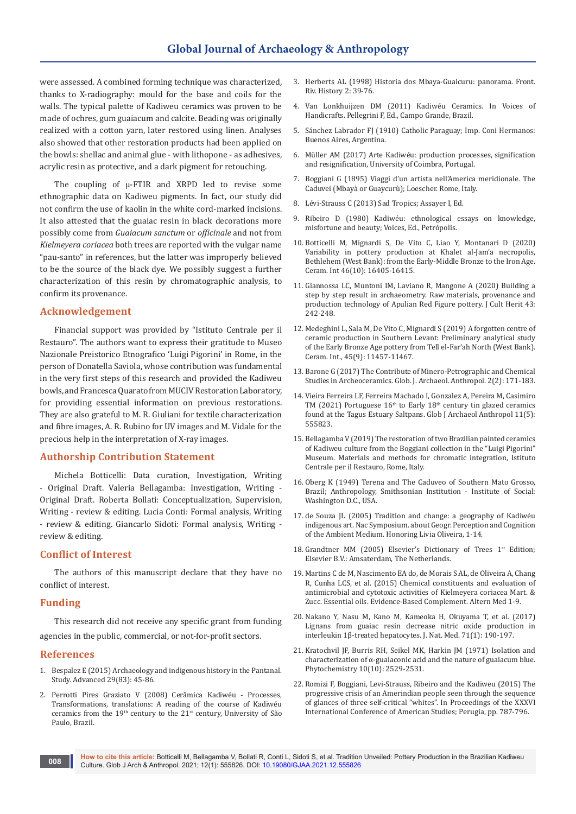were assessed. A combined forming technique was characterized, thanks to X-radiography: mould for the base and coils for the walls. The typical palette of Kadiweu ceramics was proven to be made of ochres, gum guaiacum and calcite. Beading was originally realized with a cotton yarn, later restored using linen. Analyses also showed that other restoration products had been applied on the bowls: shellac and animal glue - with lithopone - as adhesives, acrylic resin as protective, and a dark pigment for retouching.

The coupling of μ-FTIR and XRPD led to revise some ethnographic data on Kadiweu pigments. In fact, our study did not confirm the use of kaolin in the white cord-marked incisions. It also attested that the guaiac resin in black decorations more possibly come from *Guaiacum sanctum* or *officinale* and not from *Kielmeyera coriacea* both trees are reported with the vulgar name "pau-santo" in references, but the latter was improperly believed to be the source of the black dye. We possibly suggest a further characterization of this resin by chromatographic analysis, to confirm its provenance.

# **Acknowledgement**

Financial support was provided by "Istituto Centrale per il Restauro". The authors want to express their gratitude to Museo Nazionale Preistorico Etnografico 'Luigi Pigorini' in Rome, in the person of Donatella Saviola, whose contribution was fundamental in the very first steps of this research and provided the Kadiweu bowls, and Francesca Quarato from MUCIV Restoration Laboratory, for providing essential information on previous restorations. They are also grateful to M. R. Giuliani for textile characterization and fibre images, A. R. Rubino for UV images and M. Vidale for the precious help in the interpretation of X-ray images.

### **Authorship Contribution Statement**

Michela Botticelli: Data curation, Investigation, Writing - Original Draft. Valeria Bellagamba: Investigation, Writing - Original Draft. Roberta Bollati: Conceptualization, Supervision, Writing - review & editing. Lucia Conti: Formal analysis, Writing - review & editing. Giancarlo Sidoti: Formal analysis, Writing review & editing.

## **Conflict of Interest**

The authors of this manuscript declare that they have no conflict of interest.

### **Funding**

This research did not receive any specific grant from funding agencies in the public, commercial, or not-for-profit sectors.

### **References**

- 1. [Bespalez E \(2015\) Archaeology and indigenous history in the Pantanal.](https://www.mendeley.com/catalogue/6f96ede0-24c2-3836-ac33-dc432f643644/)  [Study. Advanced 29\(83\): 45-86.](https://www.mendeley.com/catalogue/6f96ede0-24c2-3836-ac33-dc432f643644/)
- 2. Perrotti Pires Graziato V (2008) Cerâmica Kadiwéu Processes, Transformations, translations: A reading of the course of Kadiwéu ceramics from the 19<sup>th</sup> century to the 21<sup>st</sup> century, University of São Paulo, Brazil.
- 3. Herberts AL (1998) Historia dos Mbaya-Guaicuru: panorama. Front. Riv. History 2: 39-76.
- 4. Van Lonkhuijzen DM (2011) Kadiwéu Ceramics. In Voices of Handicrafts. Pellegrini F, Ed., Campo Grande, Brazil.
- 5. Sánchez Labrador FJ (1910) Catholic Paraguay; Imp. Coni Hermanos: Buenos Aires, Argentina.
- 6. Müller AM (2017) Arte Kadiwéu: production processes, signification and resignification, University of Coimbra, Portugal.
- 7. Boggiani G (1895) Viaggi d'un artista nell'America meridionale. The Caduvei (Mbayà or Guaycurù); Loescher. Rome, Italy.
- 8. Lévi-Strauss C (2013) Sad Tropics; Assayer I, Ed.
- 9. Ribeiro D (1980) Kadiwéu: ethnological essays on knowledge, misfortune and beauty; Voices, Ed., Petrópolis.
- 10. Botticelli M, Mignardi S, De Vito C, Liao Y, Montanari D (2020) Variability in pottery production at Khalet al-Jam'a necropolis, Bethlehem (West Bank): from the Early-Middle Bronze to the Iron Age. Ceram. Int 46(10): 16405-16415.
- 11. [Giannossa LC, Muntoni IM, Laviano R, Mangone A \(2020\) Building a](https://www.sciencedirect.com/science/article/abs/pii/S1296207419305266?via%3Dihub)  [step by step result in archaeometry. Raw materials, provenance and](https://www.sciencedirect.com/science/article/abs/pii/S1296207419305266?via%3Dihub)  [production technology of Apulian Red Figure pottery. J Cult Herit 43:](https://www.sciencedirect.com/science/article/abs/pii/S1296207419305266?via%3Dihub)  [242-248.](https://www.sciencedirect.com/science/article/abs/pii/S1296207419305266?via%3Dihub)
- 12. [Medeghini L, Sala M, De Vito C, Mignardi S \(2019\) A forgotten centre of](https://www.sciencedirect.com/science/article/pii/S0272884219305528?via%3Dihub)  [ceramic production in Southern Levant: Preliminary analytical study](https://www.sciencedirect.com/science/article/pii/S0272884219305528?via%3Dihub)  [of the Early Bronze Age pottery from Tell el-Far'ah North \(West Bank\).](https://www.sciencedirect.com/science/article/pii/S0272884219305528?via%3Dihub)  [Ceram. Int., 45\(9\): 11457-11467.](https://www.sciencedirect.com/science/article/pii/S0272884219305528?via%3Dihub)
- 13. [Barone G \(2017\) The Contribute of Minero-Petrographic and Chemical](https://juniperpublishers.com/gjaa/GJAA.MS.ID.555583.php)  [Studies in Archeoceramics. Glob. J. Archaeol. Anthropol. 2\(2\): 171-183.](https://juniperpublishers.com/gjaa/GJAA.MS.ID.555583.php)
- 14. [Vieira Ferreira LF, Ferreira Machado I, Gonzalez A, Pereira M, Casimiro](https://juniperpublishers.com/gjaa/pdf/GJAA.MS.ID.555823.pdf)  TM (2021) Portuguese  $16<sup>th</sup>$  to Early  $18<sup>th</sup>$  century tin glazed ceramics [found at the Tagus Estuary Saltpans. Glob J Archaeol Anthropol 11\(5\):](https://juniperpublishers.com/gjaa/pdf/GJAA.MS.ID.555823.pdf)  [555823.](https://juniperpublishers.com/gjaa/pdf/GJAA.MS.ID.555823.pdf)
- 15. Bellagamba V (2019) The restoration of two Brazilian painted ceramics of Kadiweu culture from the Boggiani collection in the "Luigi Pigorini" Museum. Materials and methods for chromatic integration, Istituto Centrale per il Restauro, Rome, Italy.
- 16. Oberg K (1949) Terena and The Caduveo of Southern Mato Grosso, Brazil; Anthropology, Smithsonian Institution - Institute of Social: Washington D.C., USA.
- 17. de Souza JL (2005) Tradition and change: a geography of Kadiwéu indigenous art. Nac Symposium. about Geogr. Perception and Cognition of the Ambient Medium. Honoring Livia Oliveira, 1-14.
- 18. Grandtner MM (2005) Elsevier's Dictionary of Trees 1st Edition; Elsevier B.V.: Amsaterdam, The Netherlands.
- 19. [Martins C de M, Nascimento EA do, de Morais S AL, de Oliveira A, Chang](https://pubmed.ncbi.nlm.nih.gov/25960759/)  [R, Cunha LCS, et al. \(2015\) Chemical constituents and evaluation of](https://pubmed.ncbi.nlm.nih.gov/25960759/)  [antimicrobial and cytotoxic activities of Kielmeyera coriacea Mart. &](https://pubmed.ncbi.nlm.nih.gov/25960759/)  [Zucc. Essential oils. Evidence-Based Complement. Altern Med 1-9.](https://pubmed.ncbi.nlm.nih.gov/25960759/)
- 20. [Nakano Y, Nasu M, Kano M, Kameoka H, Okuyama T, et al. \(2017\)](https://pubmed.ncbi.nlm.nih.gov/27709321/)  [Lignans from guaiac resin decrease nitric oxide production in](https://pubmed.ncbi.nlm.nih.gov/27709321/)  [interleukin 1β-treated hepatocytes. J. Nat. Med. 71\(1\): 190-197.](https://pubmed.ncbi.nlm.nih.gov/27709321/)
- 21. [Kratochvil JF, Burris RH, Seikel MK, Harkin JM \(1971\) Isolation and](https://www.sciencedirect.com/science/article/abs/pii/S003194220089901X)  [characterization of α-guaiaconic acid and the nature of guaiacum blue.](https://www.sciencedirect.com/science/article/abs/pii/S003194220089901X)  [Phytochemistry 10\(10\): 2529-2531.](https://www.sciencedirect.com/science/article/abs/pii/S003194220089901X)
- 22. Romizi F, Boggiani, Levi-Strauss, Ribeiro and the Kadiweu (2015) The progressive crisis of an Amerindian people seen through the sequence of glances of three self-critical "whites". In Proceedings of the XXXVI International Conference of American Studies; Perugia, pp. 787-796.